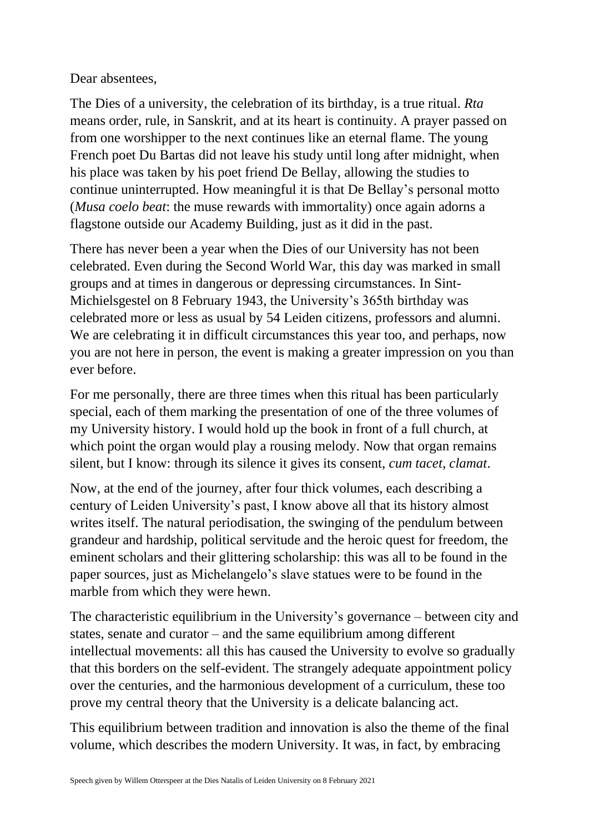## Dear absentees,

The Dies of a university, the celebration of its birthday, is a true ritual. *Rta* means order, rule, in Sanskrit, and at its heart is continuity. A prayer passed on from one worshipper to the next continues like an eternal flame. The young French poet Du Bartas did not leave his study until long after midnight, when his place was taken by his poet friend De Bellay, allowing the studies to continue uninterrupted. How meaningful it is that De Bellay's personal motto (*Musa coelo beat*: the muse rewards with immortality) once again adorns a flagstone outside our Academy Building, just as it did in the past.

There has never been a year when the Dies of our University has not been celebrated. Even during the Second World War, this day was marked in small groups and at times in dangerous or depressing circumstances. In Sint-Michielsgestel on 8 February 1943, the University's 365th birthday was celebrated more or less as usual by 54 Leiden citizens, professors and alumni. We are celebrating it in difficult circumstances this year too, and perhaps, now you are not here in person, the event is making a greater impression on you than ever before.

For me personally, there are three times when this ritual has been particularly special, each of them marking the presentation of one of the three volumes of my University history. I would hold up the book in front of a full church, at which point the organ would play a rousing melody. Now that organ remains silent, but I know: through its silence it gives its consent, *cum tacet, clamat*.

Now, at the end of the journey, after four thick volumes, each describing a century of Leiden University's past, I know above all that its history almost writes itself. The natural periodisation, the swinging of the pendulum between grandeur and hardship, political servitude and the heroic quest for freedom, the eminent scholars and their glittering scholarship: this was all to be found in the paper sources, just as Michelangelo's slave statues were to be found in the marble from which they were hewn.

The characteristic equilibrium in the University's governance – between city and states, senate and curator – and the same equilibrium among different intellectual movements: all this has caused the University to evolve so gradually that this borders on the self-evident. The strangely adequate appointment policy over the centuries, and the harmonious development of a curriculum, these too prove my central theory that the University is a delicate balancing act.

This equilibrium between tradition and innovation is also the theme of the final volume, which describes the modern University. It was, in fact, by embracing